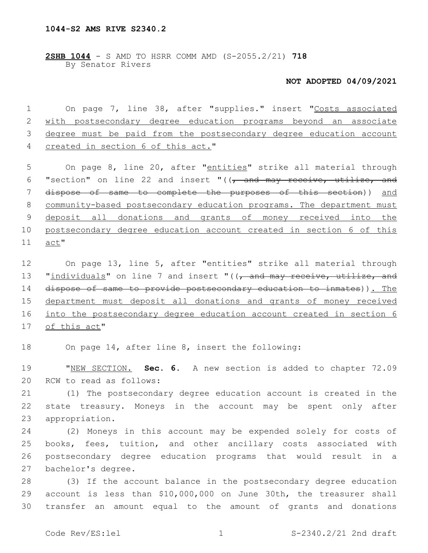**2SHB 1044** - S AMD TO HSRR COMM AMD (S-2055.2/21) **718** By Senator Rivers

## **NOT ADOPTED 04/09/2021**

 On page 7, line 38, after "supplies." insert "Costs associated with postsecondary degree education programs beyond an associate degree must be paid from the postsecondary degree education account 4 created in section 6 of this act."

5 On page 8, line 20, after "entities" strike all material through 6 "section" on line 22 and insert " $((\tau$  and may receive, utilize, and 7 dispose of same to complete the purposes of this section)) and 8 community-based postsecondary education programs. The department must 9 deposit all donations and grants of money received into the 10 postsecondary degree education account created in section 6 of this 11 act"

 On page 13, line 5, after "entities" strike all material through 13 "individuals" on line 7 and insert "((, and may receive, utilize, and dispose of same to provide postsecondary education to inmates)). The department must deposit all donations and grants of money received into the postsecondary degree education account created in section 6 17 of this act"

18 On page 14, after line 8, insert the following:

19 "NEW SECTION. **Sec. 6.** A new section is added to chapter 72.09 20 RCW to read as follows:

21 (1) The postsecondary degree education account is created in the 22 state treasury. Moneys in the account may be spent only after 23 appropriation.

 (2) Moneys in this account may be expended solely for costs of books, fees, tuition, and other ancillary costs associated with postsecondary degree education programs that would result in a 27 bachelor's degree.

28 (3) If the account balance in the postsecondary degree education 29 account is less than \$10,000,000 on June 30th, the treasurer shall 30 transfer an amount equal to the amount of grants and donations